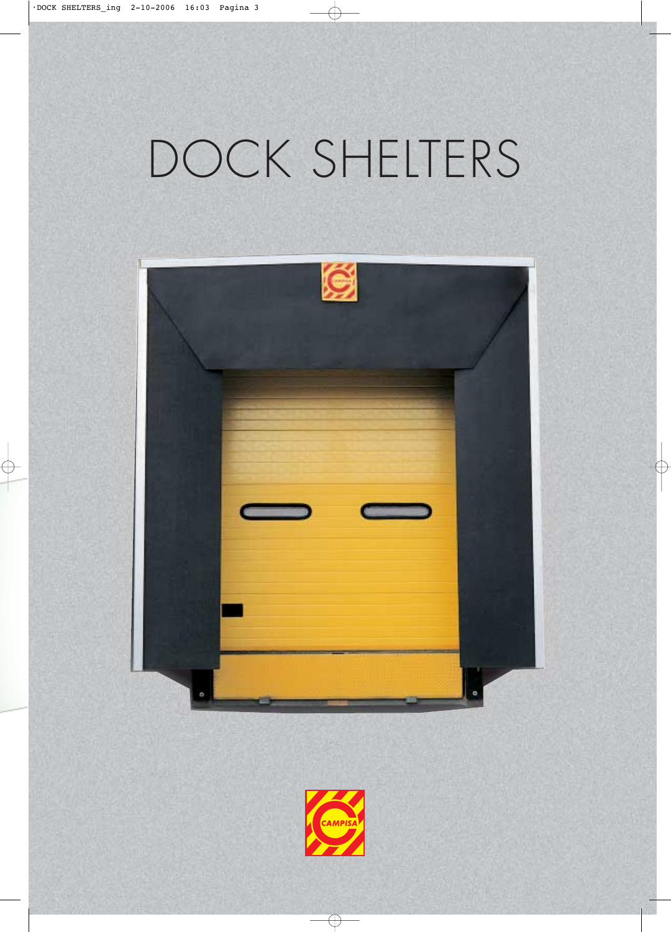## DOCK SHELTERS



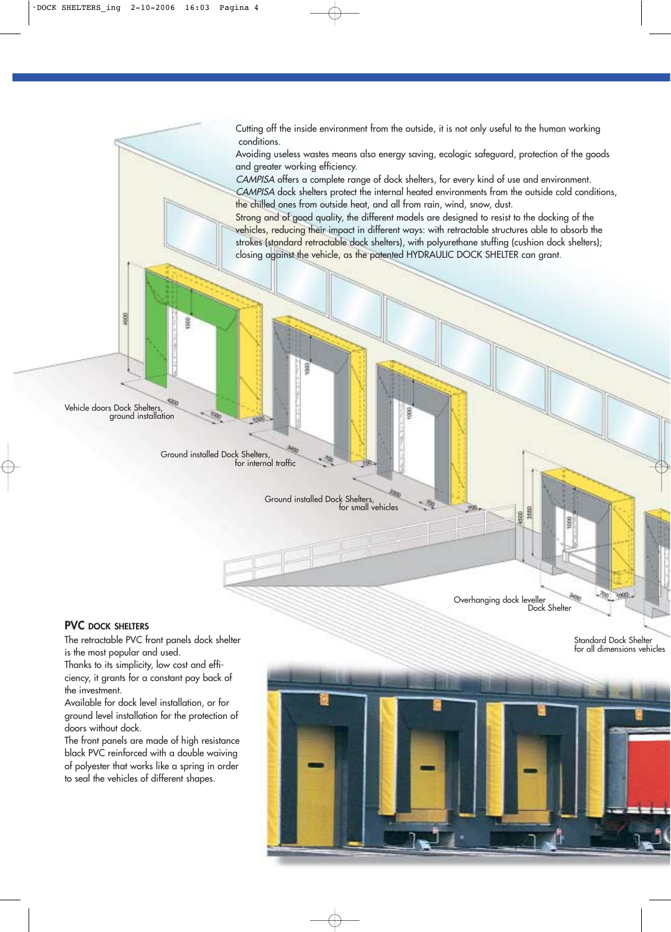Cutting off the inside environment from the outside, it is not only useful to the human working conditions.

Avoiding useless wastes means also energy saving, ecologic safeguard, protection of the goods and greater working efficiency.

CAMPISA offers a complete range of dock shelters, for every kind of use and environment. CAMPISA dock shelters protect the internal heated environments from the outside cold conditions, the chilled ones from outside heat, and all from rain, wind, snow, dust.

Strong and of good quality, the different models are designed to resist to the docking of the vehicles, reducing their impact in different ways: with retractable structures able to absorb the strokes (standard retractable dock shelters), with polyurethane stuffing (cushion dock shelters); closing against the vehicle, as the patented HYDRAULIC DOCK SHELTER can grant.

Vehicle doors Dock Shelters, ground installation

8

Ground installed Dock Shelters, for internal traffic

> Ground installed Dock Shelters, for small vehicles

做

## **PVC DOCK SHELTERS**

The retractable PVC front panels dock shelter is the most popular and used.

Thanks to its simplicity, low cost and efficiency, it grants for a constant pay back of the investment.

Available for dock level installation, or for ground level installation for the protection of doors without dock.

The front panels are made of high resistance black PVC reinforced with a double waiving of polyester that works like a spring in order to seal the vehicles of different shapes.

Standard Dock She for all dimensions

ð9 tion.



Overhanging dock leveller

8

Dock Shelter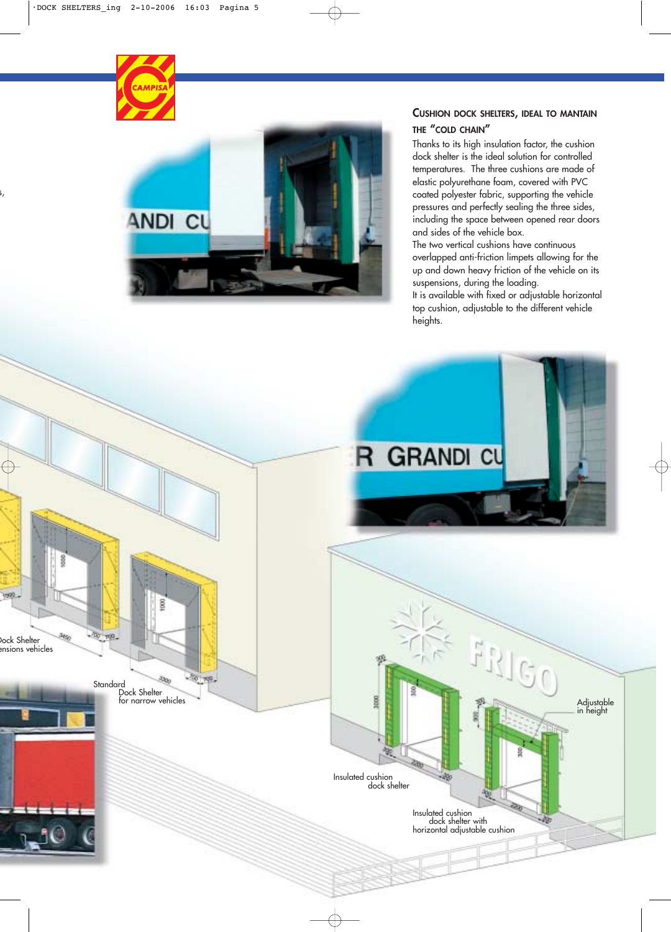

## **CUSHION DOCK SHELTERS, IDEAL TO MANTAIN THE "COLD CHAIN"**

Thanks to its high insulation factor, the cushion dock shelter is the ideal solution for controlled temperatures. The three cushions are made of elastic polyurethane foam, covered with PVC coated polyester fabric, supporting the vehicle pressures and perfectly sealing the three sides, including the space between opened rear doors and sides of the vehicle box.

The two vertical cushions have continuous overlapped anti-friction limpets allowing for the up and down heavy friction of the vehicle on its suspensions, during the loading.

It is available with fixed or adjustable horizontal top cushion, adjustable to the different vehicle heights.